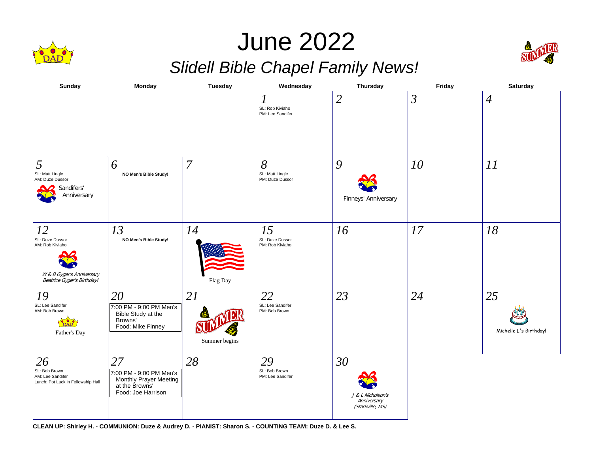

## June 2022 *Slidell Bible Chapel Family News!*



| <b>Sunday</b>                                                                                       | Monday                                                                                          | <b>Tuesday</b>      | Wednesday                                | Thursday                                                   | Friday         | Saturday                     |
|-----------------------------------------------------------------------------------------------------|-------------------------------------------------------------------------------------------------|---------------------|------------------------------------------|------------------------------------------------------------|----------------|------------------------------|
|                                                                                                     |                                                                                                 |                     | 1<br>SL: Rob Kiviaho<br>PM: Lee Sandifer | $\overline{2}$                                             | $\mathfrak{Z}$ | $\overline{4}$               |
| 5<br>SL: Matt Lingle<br>AM: Duze Dussor<br>Sandifers'<br>Anniversary                                | 6<br>NO Men's Bible Study!                                                                      | 7                   | 8<br>SL: Matt Lingle<br>PM: Duze Dussor  | 9<br>Finneys' Anniversary                                  | 10             | 11                           |
| 12<br>SL: Duze Dussor<br>AM: Rob Kiviaho<br>W & B Gyger's Anniversary<br>Beatrice Gyger's Birthday! | 13<br>NO Men's Bible Study!                                                                     | 14<br>Flag Day      | 15<br>SL: Duze Dussor<br>PM: Rob Kiviaho | 16                                                         | 17             | 18                           |
| 19<br>SL: Lee Sandifer<br>AM: Bob Brown<br>Father's Day                                             | 20<br>7:00 PM - 9:00 PM Men's<br>Bible Study at the<br>Browns'<br>Food: Mike Finney             | 21<br>Summer begins | 22<br>SL: Lee Sandifer<br>PM: Bob Brown  | 23                                                         | 24             | 25<br>Michelle L's Birthday! |
| 26<br>SL: Bob Brown<br>AM: Lee Sandifer<br>Lunch: Pot Luck in Fellowship Hall                       | 27<br>7:00 PM - 9:00 PM Men's<br>Monthly Prayer Meeting<br>at the Browns'<br>Food: Joe Harrison | 28                  | 29<br>SL: Bob Brown<br>PM: Lee Sandifer  | 30<br>J & L Nicholson's<br>Anniversary<br>(Starkville, MS) |                |                              |

**CLEAN UP: Shirley H. - COMMUNION: Duze & Audrey D. - PIANIST: Sharon S. - COUNTING TEAM: Duze D. & Lee S.**